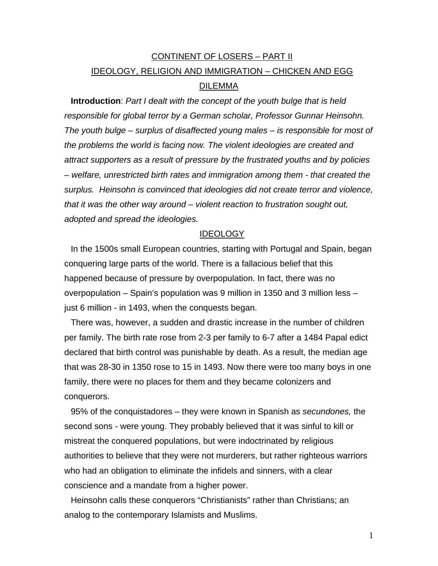## CONTINENT OF LOSERS – PART II IDEOLOGY, RELIGION AND IMMIGRATION – CHICKEN AND EGG DILEMMA

**Introduction**: *Part I dealt with the concept of the youth bulge that is held responsible for global terror by a German scholar, Professor Gunnar Heinsohn. The youth bulge – surplus of disaffected young males – is responsible for most of the problems the world is facing now. The violent ideologies are created and attract supporters as a result of pressure by the frustrated youths and by policies – welfare, unrestricted birth rates and immigration among them - that created the surplus. Heinsohn is convinced that ideologies did not create terror and violence, that it was the other way around – violent reaction to frustration sought out, adopted and spread the ideologies.* 

## IDEOLOGY

In the 1500s small European countries, starting with Portugal and Spain, began conquering large parts of the world. There is a fallacious belief that this happened because of pressure by overpopulation. In fact, there was no overpopulation – Spain's population was 9 million in 1350 and 3 million less – just 6 million - in 1493, when the conquests began.

There was, however, a sudden and drastic increase in the number of children per family. The birth rate rose from 2-3 per family to 6-7 after a 1484 Papal edict declared that birth control was punishable by death. As a result, the median age that was 28-30 in 1350 rose to 15 in 1493. Now there were too many boys in one family, there were no places for them and they became colonizers and conquerors.

95% of the conquistadores – they were known in Spanish as *secundones,* the second sons *-* were young. They probably believed that it was sinful to kill or mistreat the conquered populations, but were indoctrinated by religious authorities to believe that they were not murderers, but rather righteous warriors who had an obligation to eliminate the infidels and sinners, with a clear conscience and a mandate from a higher power.

Heinsohn calls these conquerors "Christianists" rather than Christians; an analog to the contemporary Islamists and Muslims.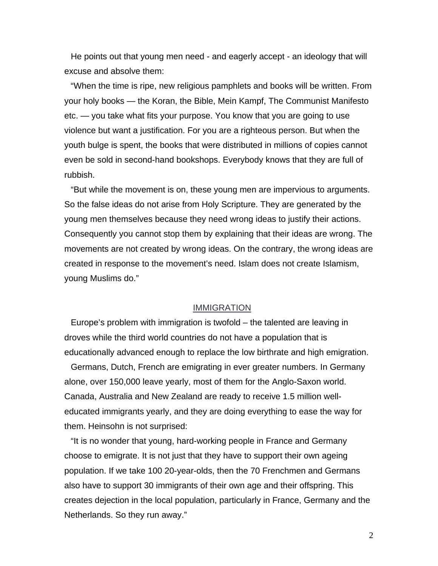He points out that young men need - and eagerly accept - an ideology that will excuse and absolve them:

"When the time is ripe, new religious pamphlets and books will be written. From your holy books — the Koran, the Bible, Mein Kampf, The Communist Manifesto etc. — you take what fits your purpose. You know that you are going to use violence but want a justification. For you are a righteous person. But when the youth bulge is spent, the books that were distributed in millions of copies cannot even be sold in second-hand bookshops. Everybody knows that they are full of rubbish.

"But while the movement is on, these young men are impervious to arguments. So the false ideas do not arise from Holy Scripture. They are generated by the young men themselves because they need wrong ideas to justify their actions. Consequently you cannot stop them by explaining that their ideas are wrong. The movements are not created by wrong ideas. On the contrary, the wrong ideas are created in response to the movement's need. Islam does not create Islamism, young Muslims do."

## IMMIGRATION

Europe's problem with immigration is twofold – the talented are leaving in droves while the third world countries do not have a population that is educationally advanced enough to replace the low birthrate and high emigration.

Germans, Dutch, French are emigrating in ever greater numbers. In Germany alone, over 150,000 leave yearly, most of them for the Anglo-Saxon world. Canada, Australia and New Zealand are ready to receive 1.5 million welleducated immigrants yearly, and they are doing everything to ease the way for them. Heinsohn is not surprised:

"It is no wonder that young, hard-working people in France and Germany choose to emigrate. It is not just that they have to support their own ageing population. If we take 100 20-year-olds, then the 70 Frenchmen and Germans also have to support 30 immigrants of their own age and their offspring. This creates dejection in the local population, particularly in France, Germany and the Netherlands. So they run away."

2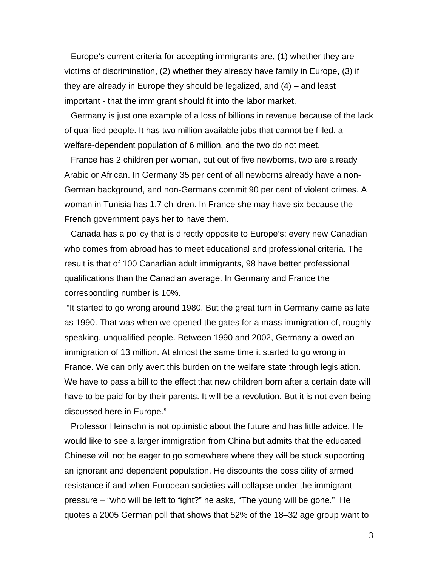Europe's current criteria for accepting immigrants are, (1) whether they are victims of discrimination, (2) whether they already have family in Europe, (3) if they are already in Europe they should be legalized, and (4) – and least important - that the immigrant should fit into the labor market.

Germany is just one example of a loss of billions in revenue because of the lack of qualified people. It has two million available jobs that cannot be filled, a welfare-dependent population of 6 million, and the two do not meet.

France has 2 children per woman, but out of five newborns, two are already Arabic or African. In Germany 35 per cent of all newborns already have a non-German background, and non-Germans commit 90 per cent of violent crimes. A woman in Tunisia has 1.7 children. In France she may have six because the French government pays her to have them.

Canada has a policy that is directly opposite to Europe's: every new Canadian who comes from abroad has to meet educational and professional criteria. The result is that of 100 Canadian adult immigrants, 98 have better professional qualifications than the Canadian average. In Germany and France the corresponding number is 10%.

 "It started to go wrong around 1980. But the great turn in Germany came as late as 1990. That was when we opened the gates for a mass immigration of, roughly speaking, unqualified people. Between 1990 and 2002, Germany allowed an immigration of 13 million. At almost the same time it started to go wrong in France. We can only avert this burden on the welfare state through legislation. We have to pass a bill to the effect that new children born after a certain date will have to be paid for by their parents. It will be a revolution. But it is not even being discussed here in Europe."

Professor Heinsohn is not optimistic about the future and has little advice. He would like to see a larger immigration from China but admits that the educated Chinese will not be eager to go somewhere where they will be stuck supporting an ignorant and dependent population. He discounts the possibility of armed resistance if and when European societies will collapse under the immigrant pressure – "who will be left to fight?" he asks, "The young will be gone." He quotes a 2005 German poll that shows that 52% of the 18–32 age group want to

3